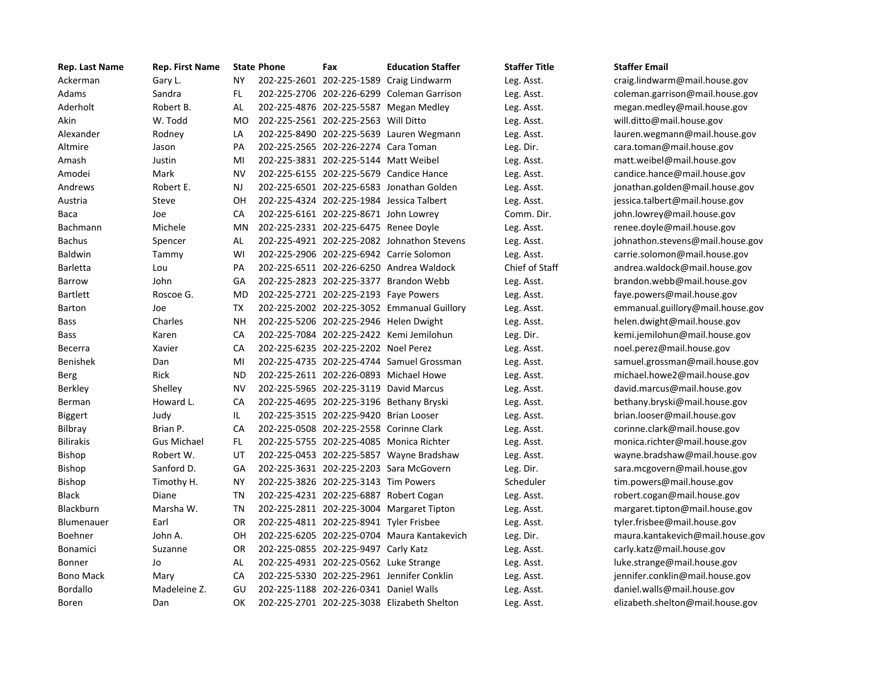| Rep. Last Name   | Rep. First Name    |           | <b>State Phone</b> | Fax                                     | <b>Education Staffer</b>                    | <b>Staffer Title</b> | <b>Staffer Email</b> |
|------------------|--------------------|-----------|--------------------|-----------------------------------------|---------------------------------------------|----------------------|----------------------|
| Ackerman         | Gary L.            | <b>NY</b> |                    |                                         | 202-225-2601 202-225-1589 Craig Lindwarm    | Leg. Asst.           | craig.lindwar        |
| Adams            | Sandra             | FL.       |                    |                                         | 202-225-2706 202-226-6299 Coleman Garrison  | Leg. Asst.           | coleman.garı         |
| Aderholt         | Robert B.          | AL        |                    |                                         | 202-225-4876 202-225-5587 Megan Medley      | Leg. Asst.           | megan.medl           |
| Akin             | W. Todd            | <b>MO</b> |                    | 202-225-2561 202-225-2563 Will Ditto    |                                             | Leg. Asst.           | will.ditto@m         |
| Alexander        | Rodney             | LA        |                    |                                         | 202-225-8490 202-225-5639 Lauren Wegmann    | Leg. Asst.           | lauren.wegm          |
| Altmire          | Jason              | PA        |                    | 202-225-2565 202-226-2274 Cara Toman    |                                             | Leg. Dir.            | cara.toman@          |
| Amash            | Justin             | MI        |                    | 202-225-3831 202-225-5144 Matt Weibel   |                                             | Leg. Asst.           | matt.weibel          |
| Amodei           | Mark               | <b>NV</b> |                    |                                         | 202-225-6155 202-225-5679 Candice Hance     | Leg. Asst.           | candice.hand         |
| Andrews          | Robert E.          | NJ        |                    |                                         | 202-225-6501 202-225-6583 Jonathan Golden   | Leg. Asst.           | jonathan.gol         |
| Austria          | Steve              | OH        |                    |                                         | 202-225-4324 202-225-1984 Jessica Talbert   | Leg. Asst.           | jessica.talber       |
| Baca             | Joe                | CA        |                    | 202-225-6161 202-225-8671 John Lowrey   |                                             | Comm. Dir.           | john.lowrey@         |
| Bachmann         | Michele            | MN        |                    | 202-225-2331 202-225-6475 Renee Doyle   |                                             | Leg. Asst.           | renee.doyle          |
| <b>Bachus</b>    | Spencer            | AL        |                    |                                         | 202-225-4921 202-225-2082 Johnathon Stevens | Leg. Asst.           | johnathon.st         |
| Baldwin          | Tammy              | WI        |                    |                                         | 202-225-2906 202-225-6942 Carrie Solomon    | Leg. Asst.           | carrie.solom         |
| Barletta         | Lou                | PA        |                    |                                         | 202-225-6511 202-226-6250 Andrea Waldock    | Chief of Staff       | andrea.wald          |
| Barrow           | John               | GA        |                    |                                         | 202-225-2823 202-225-3377 Brandon Webb      | Leg. Asst.           | brandon.web          |
| <b>Bartlett</b>  | Roscoe G.          | MD        |                    | 202-225-2721 202-225-2193 Faye Powers   |                                             | Leg. Asst.           | faye.powers          |
| Barton           | Joe                | <b>TX</b> |                    |                                         | 202-225-2002 202-225-3052 Emmanual Guillory | Leg. Asst.           | emmanual.go          |
| Bass             | Charles            | <b>NH</b> |                    | 202-225-5206 202-225-2946 Helen Dwight  |                                             | Leg. Asst.           | helen.dwight         |
| <b>Bass</b>      | Karen              | CA        |                    |                                         | 202-225-7084 202-225-2422 Kemi Jemilohun    | Leg. Dir.            | kemi.jemiloh         |
| Becerra          | Xavier             | CA        |                    | 202-225-6235 202-225-2202 Noel Perez    |                                             | Leg. Asst.           | noel.perez@          |
| Benishek         | Dan                | MI        |                    |                                         | 202-225-4735 202-225-4744 Samuel Grossman   | Leg. Asst.           | samuel.gross         |
| Berg             | Rick               | <b>ND</b> |                    | 202-225-2611 202-226-0893 Michael Howe  |                                             | Leg. Asst.           | michael.how          |
| Berkley          | Shelley            | <b>NV</b> |                    | 202-225-5965 202-225-3119 David Marcus  |                                             | Leg. Asst.           | david.marcus         |
| Berman           | Howard L.          | CA        |                    |                                         | 202-225-4695 202-225-3196 Bethany Bryski    | Leg. Asst.           | bethany.brys         |
| Biggert          | Judy               | IL.       |                    | 202-225-3515 202-225-9420 Brian Looser  |                                             | Leg. Asst.           | brian.looser         |
| <b>Bilbray</b>   | Brian P.           | CA        |                    | 202-225-0508 202-225-2558 Corinne Clark |                                             | Leg. Asst.           | corinne.clark        |
| <b>Bilirakis</b> | <b>Gus Michael</b> | FL.       |                    |                                         | 202-225-5755 202-225-4085 Monica Richter    | Leg. Asst.           | monica.richt         |
| <b>Bishop</b>    | Robert W.          | UT        |                    |                                         | 202-225-0453 202-225-5857 Wayne Bradshaw    | Leg. Asst.           | wayne.brads          |
| <b>Bishop</b>    | Sanford D.         | GA        |                    |                                         | 202-225-3631 202-225-2203 Sara McGovern     | Leg. Dir.            | sara.mcgove          |
| <b>Bishop</b>    | Timothy H.         | <b>NY</b> |                    | 202-225-3826 202-225-3143 Tim Powers    |                                             | Scheduler            | tim.powers@          |
| <b>Black</b>     | Diane              | <b>TN</b> |                    | 202-225-4231 202-225-6887 Robert Cogan  |                                             | Leg. Asst.           | robert.cogan         |
| Blackburn        | Marsha W.          | <b>TN</b> |                    |                                         | 202-225-2811 202-225-3004 Margaret Tipton   | Leg. Asst.           | margaret.tip         |
| Blumenauer       | Earl               | OR        |                    | 202-225-4811 202-225-8941 Tyler Frisbee |                                             | Leg. Asst.           | tyler.frisbee        |
| Boehner          | John A.            | OН        |                    |                                         | 202-225-6205 202-225-0704 Maura Kantakevich | Leg. Dir.            | maura.kanta          |
| <b>Bonamici</b>  | Suzanne            | OR        |                    | 202-225-0855 202-225-9497 Carly Katz    |                                             | Leg. Asst.           | carly.katz@n         |
| <b>Bonner</b>    | Jo                 | AL        |                    | 202-225-4931 202-225-0562 Luke Strange  |                                             | Leg. Asst.           | luke.strange         |
| <b>Bono Mack</b> | Mary               | CA        |                    |                                         | 202-225-5330 202-225-2961 Jennifer Conklin  | Leg. Asst.           | jennifer.conk        |
| Bordallo         | Madeleine Z.       | GU        |                    | 202-225-1188 202-226-0341 Daniel Walls  |                                             | Leg. Asst.           | daniel.walls@        |
| Boren            | Dan                | OK        |                    |                                         | 202-225-2701 202-225-3038 Elizabeth Shelton | Leg. Asst.           | elizabeth.she        |

aig. lindwarm@mail.house.gov leman. garrison@mail.house.gov egan. medley@mail.house.gov ll.ditto@mail.house.gov Alexander Rodney LA 202‐225‐8490 202‐225‐5639 Lauren Wegmann Leg. Asst. lauren.wegmann@mail.house.gov ra.toman@mail.house.gov att. weibel@mail.house.gov ndice.hance@mail.house.gov hathan. golden@mail.house.gov sica. talbert@mail.house.gov h.lowrey@mail.house.gov nee.doyle@mail.house.gov nathon.stevens@mail.house.gov rrie solomon@mail.house.gov drea.waldock@mail.house.gov andon.webb@mail.house.gov e. powers@mail.house.gov  $m$ anual.guillory@mail.house.gov len.dwight@mail.house.gov mi.jemilohun@mail.house.gov el.perez@mail.house.gov muel. grossman@mail.house.gov chael.howe2@mail.house.gov vid .marcus@mail.house.gov thany.bryski@mail.house.gov ian.looser@mail.house.gov rinne.clark@mail.house.gov onica.richter@mail.house.gov ayne.bradshaw@mail.house.gov ra mcgovern@mail.house.gov n. powers@mail.house.gov bert.cogan@mail.house.gov argaret.tipton@mail.house.gov er.frisbee@mail.house.gov aura. kantakevich@mail.house.gov rly.katz@mail.house.gov ke. strange@mail.house.gov nifer.conklin@mail.house.gov niel.walls@mail.house.gov zabeth.shelton@mail.house.gov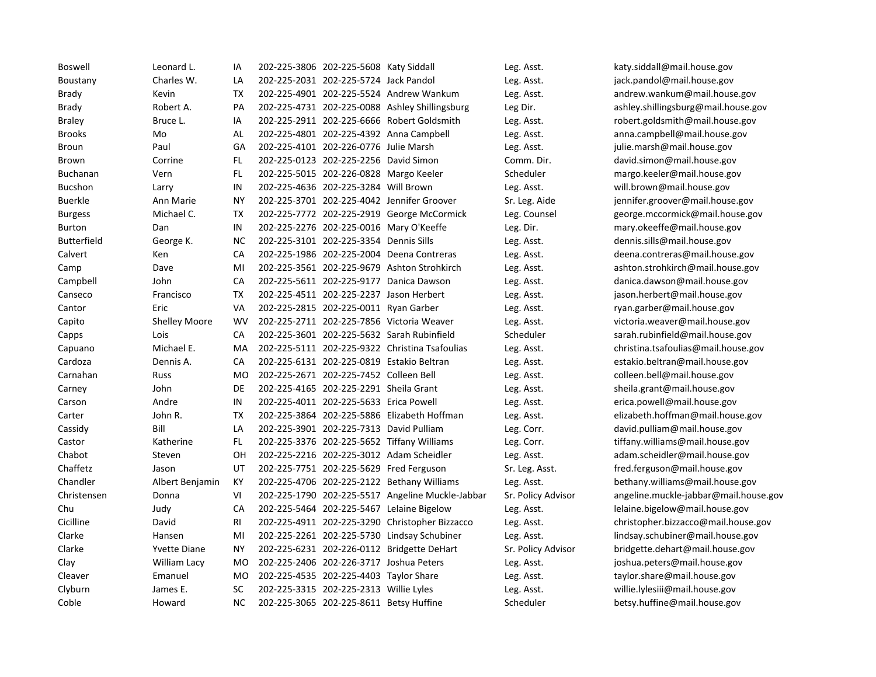| Boswell            | Leonard L.           | IA        | 202-225-3806 202-225-5608 Katy Siddall  |                                                  | Leg. Asst.         | katy.siddall@mail.house.gov           |
|--------------------|----------------------|-----------|-----------------------------------------|--------------------------------------------------|--------------------|---------------------------------------|
| Boustany           | Charles W.           | LA        | 202-225-2031 202-225-5724 Jack Pandol   |                                                  | Leg. Asst.         | jack.pandol@mail.house.gov            |
| Brady              | Kevin                | TX        |                                         | 202-225-4901 202-225-5524 Andrew Wankum          | Leg. Asst.         | andrew.wankum@mail.house.gov          |
| Brady              | Robert A.            | PA        |                                         | 202-225-4731 202-225-0088 Ashley Shillingsburg   | Leg Dir.           | ashley.shillingsburg@mail.house.gov   |
| <b>Braley</b>      | Bruce L.             | ΙA        |                                         | 202-225-2911 202-225-6666 Robert Goldsmith       | Leg. Asst.         | robert.goldsmith@mail.house.gov       |
| <b>Brooks</b>      | Mo                   | AL.       |                                         | 202-225-4801 202-225-4392 Anna Campbell          | Leg. Asst.         | anna.campbell@mail.house.gov          |
| Broun              | Paul                 | GA        | 202-225-4101 202-226-0776 Julie Marsh   |                                                  | Leg. Asst.         | julie.marsh@mail.house.gov            |
| Brown              | Corrine              | FL.       | 202-225-0123 202-225-2256 David Simon   |                                                  | Comm. Dir.         | david.simon@mail.house.gov            |
| Buchanan           | Vern                 | FL.       | 202-225-5015 202-226-0828 Margo Keeler  |                                                  | Scheduler          | margo.keeler@mail.house.gov           |
| Bucshon            | Larry                | IN        | 202-225-4636 202-225-3284 Will Brown    |                                                  | Leg. Asst.         | will.brown@mail.house.gov             |
| <b>Buerkle</b>     | Ann Marie            | NΥ        |                                         | 202-225-3701 202-225-4042 Jennifer Groover       | Sr. Leg. Aide      | jennifer.groover@mail.house.gov       |
| <b>Burgess</b>     | Michael C.           | ТX        |                                         | 202-225-7772 202-225-2919 George McCormick       | Leg. Counsel       | george.mccormick@mail.house.gov       |
| Burton             | Dan                  | IN        | 202-225-2276 202-225-0016 Mary O'Keeffe |                                                  | Leg. Dir.          | mary.okeeffe@mail.house.gov           |
| <b>Butterfield</b> | George K.            | NC.       | 202-225-3101 202-225-3354 Dennis Sills  |                                                  | Leg. Asst.         | dennis.sills@mail.house.gov           |
| Calvert            | Ken                  | СA        |                                         | 202-225-1986 202-225-2004 Deena Contreras        | Leg. Asst.         | deena.contreras@mail.house.gov        |
| Camp               | Dave                 | MI        |                                         | 202-225-3561 202-225-9679 Ashton Strohkirch      | Leg. Asst.         | ashton.strohkirch@mail.house.gov      |
| Campbell           | John                 | CA        |                                         | 202-225-5611 202-225-9177 Danica Dawson          | Leg. Asst.         | danica.dawson@mail.house.gov          |
| Canseco            | Francisco            | <b>TX</b> | 202-225-4511 202-225-2237 Jason Herbert |                                                  | Leg. Asst.         | jason.herbert@mail.house.gov          |
| Cantor             | Eric                 | VA        | 202-225-2815 202-225-0011 Ryan Garber   |                                                  | Leg. Asst.         | ryan.garber@mail.house.gov            |
| Capito             | <b>Shelley Moore</b> | <b>WV</b> |                                         | 202-225-2711 202-225-7856 Victoria Weaver        | Leg. Asst.         | victoria.weaver@mail.house.gov        |
| Capps              | Lois                 | СA        |                                         | 202-225-3601 202-225-5632 Sarah Rubinfield       | Scheduler          | sarah.rubinfield@mail.house.gov       |
| Capuano            | Michael E.           | MA        |                                         | 202-225-5111 202-225-9322 Christina Tsafoulias   | Leg. Asst.         | christina.tsafoulias@mail.house.gov   |
| Cardoza            | Dennis A.            | СA        |                                         | 202-225-6131 202-225-0819 Estakio Beltran        | Leg. Asst.         | estakio.beltran@mail.house.gov        |
| Carnahan           | Russ                 | MO        | 202-225-2671 202-225-7452 Colleen Bell  |                                                  | Leg. Asst.         | colleen.bell@mail.house.gov           |
| Carney             | John                 | DE        | 202-225-4165 202-225-2291 Sheila Grant  |                                                  | Leg. Asst.         | sheila.grant@mail.house.gov           |
| Carson             | Andre                | IN        | 202-225-4011 202-225-5633 Erica Powell  |                                                  | Leg. Asst.         | erica.powell@mail.house.gov           |
| Carter             | John R.              | TX        |                                         | 202-225-3864 202-225-5886 Elizabeth Hoffman      | Leg. Asst.         | elizabeth.hoffman@mail.house.gov      |
| Cassidy            | Bill                 | LA        | 202-225-3901 202-225-7313 David Pulliam |                                                  | Leg. Corr.         | david.pulliam@mail.house.gov          |
| Castor             | Katherine            | FL        |                                         | 202-225-3376 202-225-5652 Tiffany Williams       | Leg. Corr.         | tiffany.williams@mail.house.gov       |
| Chabot             | Steven               | OН        |                                         | 202-225-2216 202-225-3012 Adam Scheidler         | Leg. Asst.         | adam.scheidler@mail.house.gov         |
| Chaffetz           | Jason                | UT        | 202-225-7751 202-225-5629 Fred Ferguson |                                                  | Sr. Leg. Asst.     | fred.ferguson@mail.house.gov          |
| Chandler           | Albert Benjamin      | KY        |                                         | 202-225-4706 202-225-2122 Bethany Williams       | Leg. Asst.         | bethany.williams@mail.house.gov       |
| Christensen        | Donna                | VI        |                                         | 202-225-1790 202-225-5517 Angeline Muckle-Jabbar | Sr. Policy Advisor | angeline.muckle-jabbar@mail.house.gov |
| Chu                | Judy                 | CA        |                                         | 202-225-5464 202-225-5467 Lelaine Bigelow        | Leg. Asst.         | lelaine.bigelow@mail.house.gov        |
| Cicilline          | David                | RI        |                                         | 202-225-4911 202-225-3290 Christopher Bizzacco   | Leg. Asst.         | christopher.bizzacco@mail.house.gov   |
| Clarke             | Hansen               | MI        |                                         | 202-225-2261 202-225-5730 Lindsay Schubiner      | Leg. Asst.         | lindsay.schubiner@mail.house.gov      |
| Clarke             | <b>Yvette Diane</b>  | ΝY        |                                         | 202-225-6231 202-226-0112 Bridgette DeHart       | Sr. Policy Advisor | bridgette.dehart@mail.house.gov       |
| Clay               | William Lacy         | MO.       | 202-225-2406 202-226-3717 Joshua Peters |                                                  | Leg. Asst.         | joshua.peters@mail.house.gov          |
| Cleaver            | Emanuel              | MO        | 202-225-4535 202-225-4403 Taylor Share  |                                                  | Leg. Asst.         | taylor.share@mail.house.gov           |
| Clyburn            | James E.             | <b>SC</b> | 202-225-3315 202-225-2313 Willie Lyles  |                                                  | Leg. Asst.         | willie.lylesiii@mail.house.gov        |
| Coble              | Howard               | <b>NC</b> | 202-225-3065 202-225-8611 Betsy Huffine |                                                  | Scheduler          | betsy.huffine@mail.house.gov          |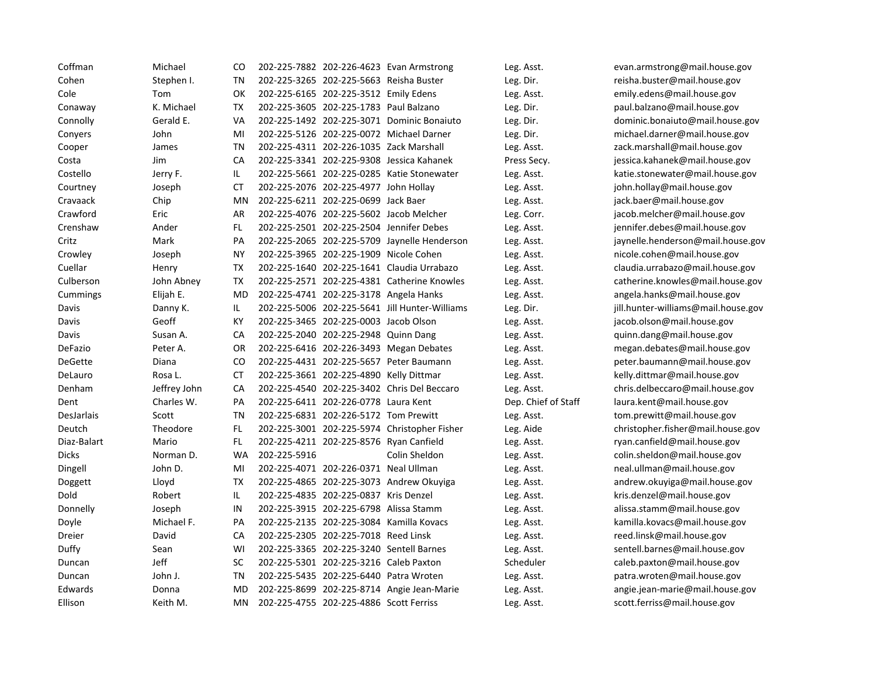| Coffman        | Michael      | CO        |                                          | 202-225-7882 202-226-4623 Evan Armstrong       | Leg. Asst.          | evan.armstrong@mail.house.gov       |
|----------------|--------------|-----------|------------------------------------------|------------------------------------------------|---------------------|-------------------------------------|
| Cohen          | Stephen I.   | TN        | 202-225-3265 202-225-5663 Reisha Buster  |                                                | Leg. Dir.           | reisha.buster@mail.house.gov        |
| Cole           | Tom          | OK        | 202-225-6165 202-225-3512 Emily Edens    |                                                | Leg. Asst.          | emily.edens@mail.house.gov          |
| Conaway        | K. Michael   | <b>TX</b> | 202-225-3605 202-225-1783 Paul Balzano   |                                                | Leg. Dir.           | paul.balzano@mail.house.gov         |
| Connolly       | Gerald E.    | VA        |                                          | 202-225-1492 202-225-3071 Dominic Bonaiuto     | Leg. Dir.           | dominic.bonaiuto@mail.house.gov     |
| Conyers        | John         | MI        |                                          | 202-225-5126 202-225-0072 Michael Darner       | Leg. Dir.           | michael.darner@mail.house.gov       |
| Cooper         | James        | TN        | 202-225-4311 202-226-1035 Zack Marshall  |                                                | Leg. Asst.          | zack.marshall@mail.house.gov        |
| Costa          | Jim          | CA        |                                          | 202-225-3341 202-225-9308 Jessica Kahanek      | Press Secy.         | jessica.kahanek@mail.house.gov      |
| Costello       | Jerry F.     | IL.       |                                          | 202-225-5661 202-225-0285 Katie Stonewater     | Leg. Asst.          | katie.stonewater@mail.house.gov     |
| Courtney       | Joseph       | СT        | 202-225-2076 202-225-4977 John Hollay    |                                                | Leg. Asst.          | john.hollay@mail.house.gov          |
| Cravaack       | Chip         | MN        | 202-225-6211 202-225-0699 Jack Baer      |                                                | Leg. Asst.          | jack.baer@mail.house.gov            |
| Crawford       | Eric         | AR        | 202-225-4076 202-225-5602 Jacob Melcher  |                                                | Leg. Corr.          | jacob.melcher@mail.house.gov        |
| Crenshaw       | Ander        | FL.       | 202-225-2501 202-225-2504 Jennifer Debes |                                                | Leg. Asst.          | jennifer.debes@mail.house.gov       |
| Critz          | Mark         | PA        |                                          | 202-225-2065 202-225-5709 Jaynelle Henderson   | Leg. Asst.          | jaynelle.henderson@mail.house.gov   |
| Crowley        | Joseph       | ΝY        | 202-225-3965 202-225-1909 Nicole Cohen   |                                                | Leg. Asst.          | nicole.cohen@mail.house.gov         |
| Cuellar        | Henry        | ТX        |                                          | 202-225-1640 202-225-1641 Claudia Urrabazo     | Leg. Asst.          | claudia.urrabazo@mail.house.gov     |
| Culberson      | John Abney   | <b>TX</b> |                                          | 202-225-2571 202-225-4381 Catherine Knowles    | Leg. Asst.          | catherine.knowles@mail.house.gov    |
| Cummings       | Elijah E.    | MD.       | 202-225-4741 202-225-3178 Angela Hanks   |                                                | Leg. Asst.          | angela.hanks@mail.house.gov         |
| Davis          | Danny K.     | IL.       |                                          | 202-225-5006 202-225-5641 Jill Hunter-Williams | Leg. Dir.           | jill.hunter-williams@mail.house.gov |
| Davis          | Geoff        | KY        | 202-225-3465 202-225-0003 Jacob Olson    |                                                | Leg. Asst.          | jacob.olson@mail.house.gov          |
| Davis          | Susan A.     | CA        | 202-225-2040 202-225-2948 Quinn Dang     |                                                | Leg. Asst.          | quinn.dang@mail.house.gov           |
| DeFazio        | Peter A.     | <b>OR</b> |                                          | 202-225-6416 202-226-3493 Megan Debates        | Leg. Asst.          | megan.debates@mail.house.gov        |
| <b>DeGette</b> | Diana        | CO.       |                                          | 202-225-4431 202-225-5657 Peter Baumann        | Leg. Asst.          | peter.baumann@mail.house.gov        |
| DeLauro        | Rosa L.      | CT        | 202-225-3661 202-225-4890 Kelly Dittmar  |                                                | Leg. Asst.          | kelly.dittmar@mail.house.gov        |
| Denham         | Jeffrey John | CA        |                                          | 202-225-4540 202-225-3402 Chris Del Beccaro    | Leg. Asst.          | chris.delbeccaro@mail.house.gov     |
| Dent           | Charles W.   | PA        | 202-225-6411 202-226-0778 Laura Kent     |                                                | Dep. Chief of Staff | laura.kent@mail.house.gov           |
| DesJarlais     | Scott        | TN        | 202-225-6831 202-226-5172 Tom Prewitt    |                                                | Leg. Asst.          | tom.prewitt@mail.house.gov          |
| Deutch         | Theodore     | FL.       |                                          | 202-225-3001 202-225-5974 Christopher Fisher   | Leg. Aide           | christopher.fisher@mail.house.gov   |
| Diaz-Balart    | Mario        | FL.       | 202-225-4211 202-225-8576 Ryan Canfield  |                                                | Leg. Asst.          | ryan.canfield@mail.house.gov        |
| <b>Dicks</b>   | Norman D.    | <b>WA</b> | 202-225-5916                             | Colin Sheldon                                  | Leg. Asst.          | colin.sheldon@mail.house.gov        |
| Dingell        | John D.      | MI        | 202-225-4071 202-226-0371 Neal Ullman    |                                                | Leg. Asst.          | neal.ullman@mail.house.gov          |
| Doggett        | Lloyd        | <b>TX</b> |                                          | 202-225-4865 202-225-3073 Andrew Okuyiga       | Leg. Asst.          | andrew.okuyiga@mail.house.gov       |
| Dold           | Robert       | IL        | 202-225-4835 202-225-0837 Kris Denzel    |                                                | Leg. Asst.          | kris.denzel@mail.house.gov          |
| Donnelly       | Joseph       | IN        | 202-225-3915 202-225-6798 Alissa Stamm   |                                                | Leg. Asst.          | alissa.stamm@mail.house.gov         |
| Doyle          | Michael F.   | PA        | 202-225-2135 202-225-3084 Kamilla Kovacs |                                                | Leg. Asst.          | kamilla.kovacs@mail.house.gov       |
| Dreier         | David        | CA        | 202-225-2305 202-225-7018 Reed Linsk     |                                                | Leg. Asst.          | reed.linsk@mail.house.gov           |
| Duffy          | Sean         | WI        | 202-225-3365 202-225-3240 Sentell Barnes |                                                | Leg. Asst.          | sentell.barnes@mail.house.gov       |
| Duncan         | Jeff         | SC        | 202-225-5301 202-225-3216 Caleb Paxton   |                                                | Scheduler           | caleb.paxton@mail.house.gov         |
| Duncan         | John J.      | TN        | 202-225-5435 202-225-6440 Patra Wroten   |                                                | Leg. Asst.          | patra.wroten@mail.house.gov         |
| Edwards        | Donna        | <b>MD</b> |                                          | 202-225-8699 202-225-8714 Angie Jean-Marie     | Leg. Asst.          | angie.jean-marie@mail.house.gov     |
| Ellison        | Keith M.     | MN        | 202-225-4755 202-225-4886 Scott Ferriss  |                                                | Leg. Asst.          | scott.ferriss@mail.house.gov        |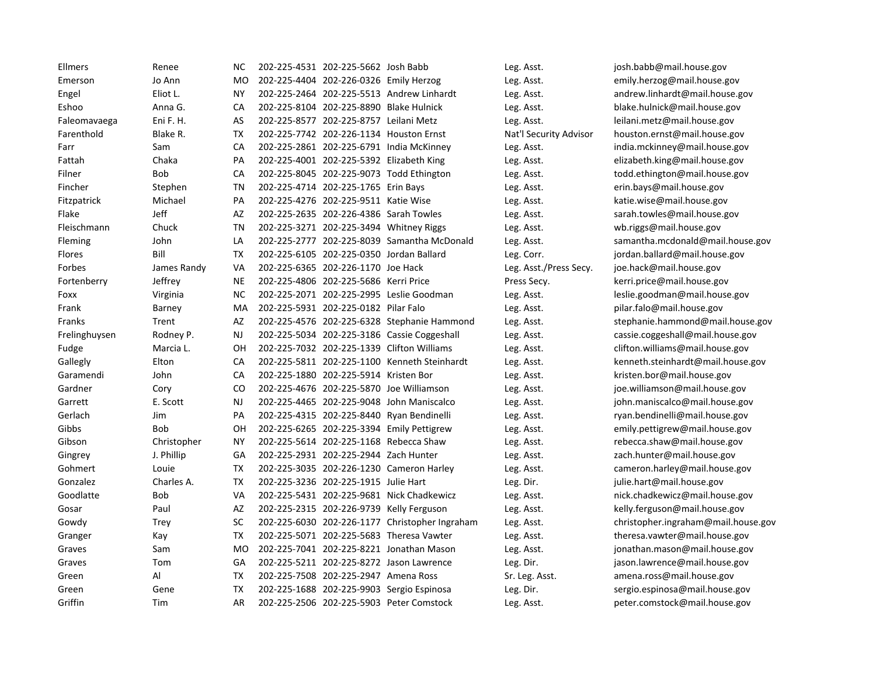| Ellmers       | Renee       | <b>NC</b> | 202-225-4531 202-225-5662 Josh Babb      |                                                | Leg. Asst.             | josh.babb@mail.house.gov            |
|---------------|-------------|-----------|------------------------------------------|------------------------------------------------|------------------------|-------------------------------------|
| Emerson       | Jo Ann      | <b>MO</b> | 202-225-4404 202-226-0326 Emily Herzog   |                                                | Leg. Asst.             | emily.herzog@mail.house.gov         |
| Engel         | Eliot L.    | <b>NY</b> |                                          | 202-225-2464 202-225-5513 Andrew Linhardt      | Leg. Asst.             | andrew.linhardt@mail.house.gov      |
| Eshoo         | Anna G.     | CA        | 202-225-8104 202-225-8890 Blake Hulnick  |                                                | Leg. Asst.             | blake.hulnick@mail.house.gov        |
| Faleomavaega  | Eni F. H.   | AS        | 202-225-8577 202-225-8757 Leilani Metz   |                                                | Leg. Asst.             | leilani.metz@mail.house.gov         |
| Farenthold    | Blake R.    | <b>TX</b> |                                          | 202-225-7742 202-226-1134 Houston Ernst        | Nat'l Security Advisor | houston.ernst@mail.house.gov        |
| Farr          | Sam         | CA        |                                          | 202-225-2861 202-225-6791 India McKinney       | Leg. Asst.             | india.mckinney@mail.house.gov       |
| Fattah        | Chaka       | <b>PA</b> | 202-225-4001 202-225-5392 Elizabeth King |                                                | Leg. Asst.             | elizabeth.king@mail.house.gov       |
| Filner        | Bob         | СA        |                                          | 202-225-8045 202-225-9073 Todd Ethington       | Leg. Asst.             | todd.ethington@mail.house.gov       |
| Fincher       | Stephen     | TN        | 202-225-4714 202-225-1765 Erin Bays      |                                                | Leg. Asst.             | erin.bays@mail.house.gov            |
| Fitzpatrick   | Michael     | PA        | 202-225-4276 202-225-9511 Katie Wise     |                                                | Leg. Asst.             | katie.wise@mail.house.gov           |
| Flake         | Jeff        | AZ        | 202-225-2635 202-226-4386 Sarah Towles   |                                                | Leg. Asst.             | sarah.towles@mail.house.gov         |
| Fleischmann   | Chuck       | <b>TN</b> | 202-225-3271 202-225-3494 Whitney Riggs  |                                                | Leg. Asst.             | wb.riggs@mail.house.gov             |
| Fleming       | John        | LA        |                                          | 202-225-2777 202-225-8039 Samantha McDonald    | Leg. Asst.             | samantha.mcdonald@mail.house.gov    |
| <b>Flores</b> | Bill        | TX        | 202-225-6105 202-225-0350 Jordan Ballard |                                                | Leg. Corr.             | jordan.ballard@mail.house.gov       |
| Forbes        | James Randy | VA        | 202-225-6365 202-226-1170 Joe Hack       |                                                | Leg. Asst./Press Secy. | joe.hack@mail.house.gov             |
| Fortenberry   | Jeffrey     | <b>NE</b> | 202-225-4806 202-225-5686 Kerri Price    |                                                | Press Secy.            | kerri.price@mail.house.gov          |
| Foxx          | Virginia    | <b>NC</b> |                                          | 202-225-2071 202-225-2995 Leslie Goodman       | Leg. Asst.             | leslie.goodman@mail.house.gov       |
| Frank         | Barney      | MA        | 202-225-5931 202-225-0182 Pilar Falo     |                                                | Leg. Asst.             | pilar.falo@mail.house.gov           |
| <b>Franks</b> | Trent       | AZ        |                                          | 202-225-4576 202-225-6328 Stephanie Hammond    | Leg. Asst.             | stephanie.hammond@mail.house.gov    |
| Frelinghuysen | Rodney P.   | NJ.       |                                          | 202-225-5034 202-225-3186 Cassie Coggeshall    | Leg. Asst.             | cassie.coggeshall@mail.house.gov    |
| Fudge         | Marcia L.   | OН        |                                          | 202-225-7032 202-225-1339 Clifton Williams     | Leg. Asst.             | clifton.williams@mail.house.gov     |
| Gallegly      | Elton       | CA        |                                          | 202-225-5811 202-225-1100 Kenneth Steinhardt   | Leg. Asst.             | kenneth.steinhardt@mail.house.gov   |
| Garamendi     | John        | CA        | 202-225-1880 202-225-5914 Kristen Bor    |                                                | Leg. Asst.             | kristen.bor@mail.house.gov          |
| Gardner       | Cory        | CO        |                                          | 202-225-4676 202-225-5870 Joe Williamson       | Leg. Asst.             | joe.williamson@mail.house.gov       |
| Garrett       | E. Scott    | NJ        |                                          | 202-225-4465 202-225-9048 John Maniscalco      | Leg. Asst.             | john.maniscalco@mail.house.gov      |
| Gerlach       | Jim         | PA        |                                          | 202-225-4315 202-225-8440 Ryan Bendinelli      | Leg. Asst.             | ryan.bendinelli@mail.house.gov      |
| Gibbs         | <b>Bob</b>  | OH        |                                          | 202-225-6265 202-225-3394 Emily Pettigrew      | Leg. Asst.             | emily.pettigrew@mail.house.gov      |
| Gibson        | Christopher | <b>NY</b> | 202-225-5614 202-225-1168 Rebecca Shaw   |                                                | Leg. Asst.             | rebecca.shaw@mail.house.gov         |
| Gingrey       | J. Phillip  | GA        | 202-225-2931 202-225-2944 Zach Hunter    |                                                | Leg. Asst.             | zach.hunter@mail.house.gov          |
| Gohmert       | Louie       | TX        |                                          | 202-225-3035 202-226-1230 Cameron Harley       | Leg. Asst.             | cameron.harley@mail.house.gov       |
| Gonzalez      | Charles A.  | <b>TX</b> | 202-225-3236 202-225-1915 Julie Hart     |                                                | Leg. Dir.              | julie.hart@mail.house.gov           |
| Goodlatte     | Bob         | VA        |                                          | 202-225-5431 202-225-9681 Nick Chadkewicz      | Leg. Asst.             | nick.chadkewicz@mail.house.gov      |
| Gosar         | Paul        | AZ        |                                          | 202-225-2315 202-226-9739 Kelly Ferguson       | Leg. Asst.             | kelly.ferguson@mail.house.gov       |
| Gowdy         | Trey        | SC        |                                          | 202-225-6030 202-226-1177 Christopher Ingraham | Leg. Asst.             | christopher.ingraham@mail.house.gov |
| Granger       | Kay         | <b>TX</b> |                                          | 202-225-5071 202-225-5683 Theresa Vawter       | Leg. Asst.             | theresa.vawter@mail.house.gov       |
| Graves        | Sam         | <b>MO</b> |                                          | 202-225-7041 202-225-8221 Jonathan Mason       | Leg. Asst.             | jonathan.mason@mail.house.gov       |
| Graves        | Tom         | GA        |                                          | 202-225-5211 202-225-8272 Jason Lawrence       | Leg. Dir.              | jason.lawrence@mail.house.gov       |
| Green         | Al          | TX        | 202-225-7508 202-225-2947 Amena Ross     |                                                | Sr. Leg. Asst.         | amena.ross@mail.house.gov           |
| Green         | Gene        | TX        |                                          | 202-225-1688 202-225-9903 Sergio Espinosa      | Leg. Dir.              | sergio.espinosa@mail.house.gov      |
| Griffin       | Tim         | AR        |                                          | 202-225-2506 202-225-5903 Peter Comstock       | Leg. Asst.             | peter.comstock@mail.house.gov       |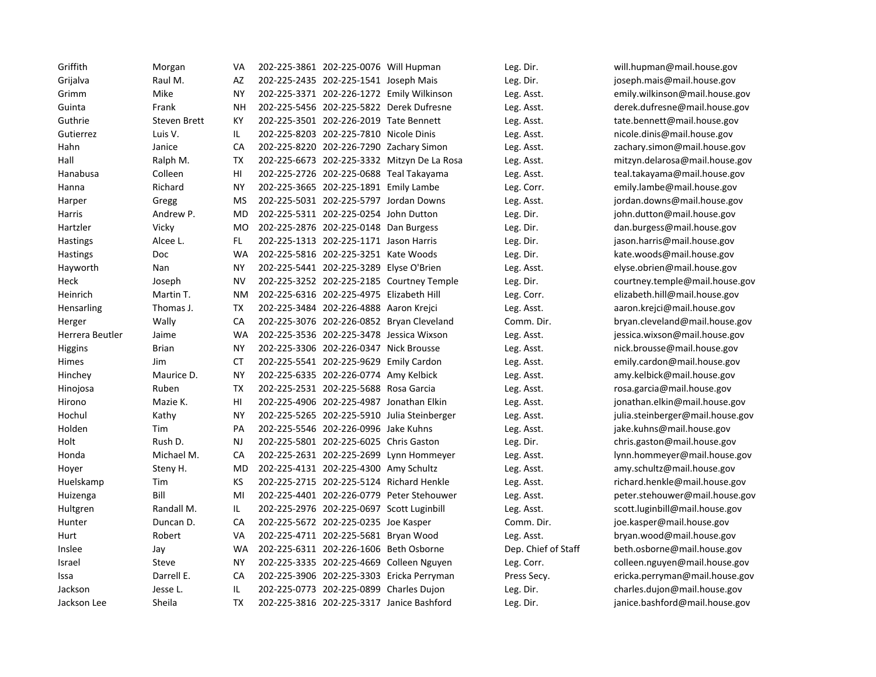| Griffith        | Morgan              | VA        | 202-225-3861 202-225-0076 Will Hupman     |                                             | Leg. Dir.           | will.hupman@mail.house.gov       |
|-----------------|---------------------|-----------|-------------------------------------------|---------------------------------------------|---------------------|----------------------------------|
| Grijalva        | Raul M.             | AZ        | 202-225-2435 202-225-1541 Joseph Mais     |                                             | Leg. Dir.           | joseph.mais@mail.house.gov       |
| Grimm           | Mike                | <b>NY</b> |                                           | 202-225-3371 202-226-1272 Emily Wilkinson   | Leg. Asst.          | emily.wilkinson@mail.house.gov   |
| Guinta          | Frank               | <b>NH</b> |                                           | 202-225-5456 202-225-5822 Derek Dufresne    | Leg. Asst.          | derek.dufresne@mail.house.gov    |
| Guthrie         | <b>Steven Brett</b> | KY        | 202-225-3501 202-226-2019 Tate Bennett    |                                             | Leg. Asst.          | tate.bennett@mail.house.gov      |
| Gutierrez       | Luis V.             | IL.       | 202-225-8203 202-225-7810 Nicole Dinis    |                                             | Leg. Asst.          | nicole.dinis@mail.house.gov      |
| Hahn            | Janice              | CA        |                                           | 202-225-8220 202-226-7290 Zachary Simon     | Leg. Asst.          | zachary.simon@mail.house.gov     |
| Hall            | Ralph M.            | TX        |                                           | 202-225-6673 202-225-3332 Mitzyn De La Rosa | Leg. Asst.          | mitzyn.delarosa@mail.house.gov   |
| Hanabusa        | Colleen             | HI        |                                           | 202-225-2726 202-225-0688 Teal Takayama     | Leg. Asst.          | teal.takayama@mail.house.gov     |
| Hanna           | Richard             | <b>NY</b> | 202-225-3665 202-225-1891 Emily Lambe     |                                             | Leg. Corr.          | emily.lambe@mail.house.gov       |
| Harper          | Gregg               | <b>MS</b> | 202-225-5031 202-225-5797 Jordan Downs    |                                             | Leg. Asst.          | jordan.downs@mail.house.gov      |
| Harris          | Andrew P.           | <b>MD</b> | 202-225-5311 202-225-0254 John Dutton     |                                             | Leg. Dir.           | john.dutton@mail.house.gov       |
| Hartzler        | Vicky               | <b>MO</b> | 202-225-2876 202-225-0148 Dan Burgess     |                                             | Leg. Dir.           | dan.burgess@mail.house.gov       |
| <b>Hastings</b> | Alcee L.            | FL.       | 202-225-1313 202-225-1171 Jason Harris    |                                             | Leg. Dir.           | jason.harris@mail.house.gov      |
| Hastings        | Doc                 | <b>WA</b> | 202-225-5816 202-225-3251 Kate Woods      |                                             | Leg. Dir.           | kate.woods@mail.house.gov        |
| Hayworth        | Nan                 | <b>NY</b> | 202-225-5441 202-225-3289 Elyse O'Brien   |                                             | Leg. Asst.          | elyse.obrien@mail.house.gov      |
| Heck            | Joseph              | <b>NV</b> |                                           | 202-225-3252 202-225-2185 Courtney Temple   | Leg. Dir.           | courtney.temple@mail.house.gov   |
| Heinrich        | Martin T.           | <b>NM</b> | 202-225-6316 202-225-4975 Elizabeth Hill  |                                             | Leg. Corr.          | elizabeth.hill@mail.house.gov    |
| Hensarling      | Thomas J.           | <b>TX</b> | 202-225-3484 202-226-4888 Aaron Kreici    |                                             | Leg. Asst.          | aaron.krejci@mail.house.gov      |
| Herger          | Wally               | CA        |                                           | 202-225-3076 202-226-0852 Bryan Cleveland   | Comm. Dir.          | bryan.cleveland@mail.house.gov   |
| Herrera Beutler | Jaime               | <b>WA</b> |                                           | 202-225-3536 202-225-3478 Jessica Wixson    | Leg. Asst.          | jessica.wixson@mail.house.gov    |
| Higgins         | <b>Brian</b>        | <b>NY</b> | 202-225-3306 202-226-0347 Nick Brousse    |                                             | Leg. Asst.          | nick.brousse@mail.house.gov      |
| Himes           | Jim                 | СT        | 202-225-5541 202-225-9629 Emily Cardon    |                                             | Leg. Asst.          | emily.cardon@mail.house.gov      |
| Hinchey         | Maurice D.          | <b>NY</b> | 202-225-6335 202-226-0774 Amy Kelbick     |                                             | Leg. Asst.          | amy.kelbick@mail.house.gov       |
| Hinojosa        | Ruben               | <b>TX</b> | 202-225-2531 202-225-5688 Rosa Garcia     |                                             | Leg. Asst.          | rosa.garcia@mail.house.gov       |
| Hirono          | Mazie K.            | HI        |                                           | 202-225-4906 202-225-4987 Jonathan Elkin    | Leg. Asst.          | jonathan.elkin@mail.house.gov    |
| Hochul          | Kathy               | <b>NY</b> |                                           | 202-225-5265 202-225-5910 Julia Steinberger | Leg. Asst.          | julia.steinberger@mail.house.gov |
| Holden          | Tim                 | PA        | 202-225-5546 202-226-0996 Jake Kuhns      |                                             | Leg. Asst.          | jake.kuhns@mail.house.gov        |
| Holt            | Rush D.             | <b>NJ</b> | 202-225-5801 202-225-6025 Chris Gaston    |                                             | Leg. Dir.           | chris.gaston@mail.house.gov      |
| Honda           | Michael M.          | CA        |                                           | 202-225-2631 202-225-2699 Lynn Hommeyer     | Leg. Asst.          | lynn.hommeyer@mail.house.gov     |
| Hoyer           | Steny H.            | <b>MD</b> | 202-225-4131 202-225-4300 Amy Schultz     |                                             | Leg. Asst.          | amy.schultz@mail.house.gov       |
| Huelskamp       | Tim                 | KS        |                                           | 202-225-2715 202-225-5124 Richard Henkle    | Leg. Asst.          | richard.henkle@mail.house.gov    |
| Huizenga        | Bill                | MI        |                                           | 202-225-4401 202-226-0779 Peter Stehouwer   | Leg. Asst.          | peter.stehouwer@mail.house.gov   |
| Hultgren        | Randall M.          | IL.       | 202-225-2976 202-225-0697 Scott Luginbill |                                             | Leg. Asst.          | scott.luginbill@mail.house.gov   |
| Hunter          | Duncan D.           | CA        | 202-225-5672 202-225-0235 Joe Kasper      |                                             | Comm. Dir.          | joe.kasper@mail.house.gov        |
| Hurt            | Robert              | VA        | 202-225-4711 202-225-5681 Bryan Wood      |                                             | Leg. Asst.          | bryan.wood@mail.house.gov        |
| Inslee          | Jay                 | <b>WA</b> | 202-225-6311 202-226-1606 Beth Osborne    |                                             | Dep. Chief of Staff | beth.osborne@mail.house.gov      |
| Israel          | <b>Steve</b>        | <b>NY</b> |                                           | 202-225-3335 202-225-4669 Colleen Nguyen    | Leg. Corr.          | colleen.nguyen@mail.house.gov    |
| Issa            | Darrell E.          | CA        |                                           | 202-225-3906 202-225-3303 Ericka Perryman   | Press Secy.         | ericka.perryman@mail.house.gov   |
| Jackson         | Jesse L.            | IL.       | 202-225-0773 202-225-0899 Charles Dujon   |                                             | Leg. Dir.           | charles.dujon@mail.house.gov     |
| Jackson Lee     | Sheila              | <b>TX</b> |                                           | 202-225-3816 202-225-3317 Janice Bashford   | Leg. Dir.           | janice.bashford@mail.house.gov   |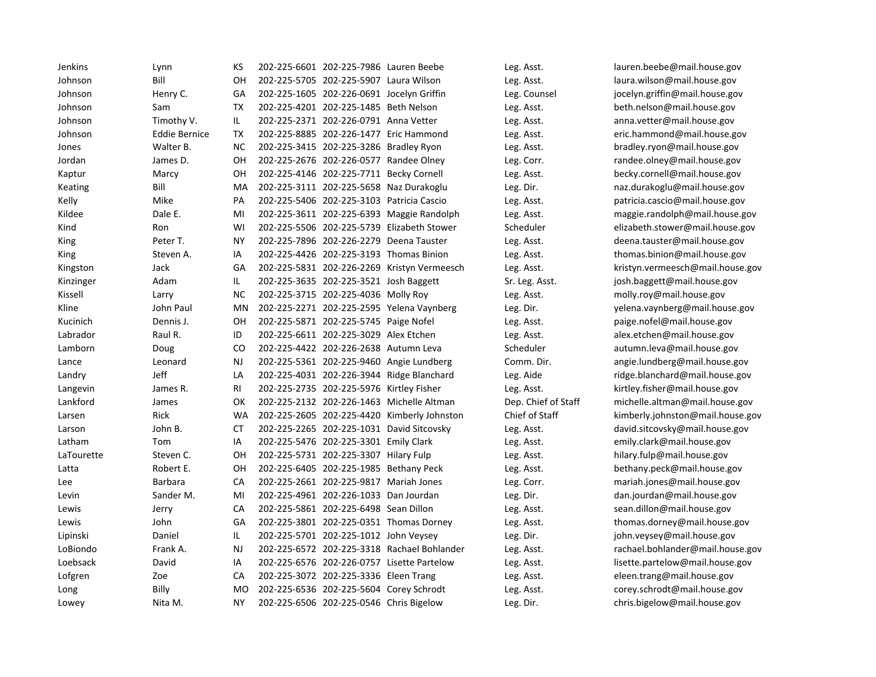| Jenkins    | Lynn                 | КS        | 202-225-6601 202-225-7986 Lauren Beebe    |                                             | Leg. Asst.          | lauren.beebe@mail.house.gov      |
|------------|----------------------|-----------|-------------------------------------------|---------------------------------------------|---------------------|----------------------------------|
| Johnson    | Bill                 | OH        | 202-225-5705 202-225-5907 Laura Wilson    |                                             | Leg. Asst.          | laura.wilson@mail.house.gov      |
| Johnson    | Henry C.             | GA        | 202-225-1605 202-226-0691 Jocelyn Griffin |                                             | Leg. Counsel        | jocelyn.griffin@mail.house.gov   |
| Johnson    | Sam                  | <b>TX</b> | 202-225-4201 202-225-1485 Beth Nelson     |                                             | Leg. Asst.          | beth.nelson@mail.house.gov       |
| Johnson    | Timothy V.           | IL        | 202-225-2371 202-226-0791 Anna Vetter     |                                             | Leg. Asst.          | anna.vetter@mail.house.gov       |
| Johnson    | <b>Eddie Bernice</b> | <b>TX</b> |                                           | 202-225-8885 202-226-1477 Eric Hammond      | Leg. Asst.          | eric.hammond@mail.house.gov      |
| Jones      | Walter B.            | <b>NC</b> | 202-225-3415 202-225-3286 Bradley Ryon    |                                             | Leg. Asst.          | bradley.ryon@mail.house.gov      |
| Jordan     | James D.             | OH        | 202-225-2676 202-226-0577 Randee Olney    |                                             | Leg. Corr.          | randee.olney@mail.house.gov      |
| Kaptur     | Marcy                | OH        | 202-225-4146 202-225-7711 Becky Cornell   |                                             | Leg. Asst.          | becky.cornell@mail.house.gov     |
| Keating    | Bill                 | MA        |                                           | 202-225-3111 202-225-5658 Naz Durakoglu     | Leg. Dir.           | naz.durakoglu@mail.house.gov     |
| Kelly      | Mike                 | PA        |                                           | 202-225-5406 202-225-3103 Patricia Cascio   | Leg. Asst.          | patricia.cascio@mail.house.gov   |
| Kildee     | Dale E.              | MI        |                                           | 202-225-3611 202-225-6393 Maggie Randolph   | Leg. Asst.          | maggie.randolph@mail.house.gov   |
| Kind       | Ron                  | WI        |                                           | 202-225-5506 202-225-5739 Elizabeth Stower  | Scheduler           | elizabeth.stower@mail.house.gov  |
| King       | Peter T.             | <b>NY</b> |                                           | 202-225-7896 202-226-2279 Deena Tauster     | Leg. Asst.          | deena.tauster@mail.house.gov     |
| King       | Steven A.            | IA        |                                           | 202-225-4426 202-225-3193 Thomas Binion     | Leg. Asst.          | thomas.binion@mail.house.gov     |
| Kingston   | Jack                 | GA        |                                           | 202-225-5831 202-226-2269 Kristyn Vermeesch | Leg. Asst.          | kristyn.vermeesch@mail.house.gov |
| Kinzinger  | Adam                 | IL        | 202-225-3635 202-225-3521 Josh Baggett    |                                             | Sr. Leg. Asst.      | josh.baggett@mail.house.gov      |
| Kissell    | Larry                | <b>NC</b> | 202-225-3715 202-225-4036 Molly Roy       |                                             | Leg. Asst.          | molly.roy@mail.house.gov         |
| Kline      | John Paul            | MN        |                                           | 202-225-2271 202-225-2595 Yelena Vaynberg   | Leg. Dir.           | yelena.vaynberg@mail.house.gov   |
| Kucinich   | Dennis J.            | OH        | 202-225-5871 202-225-5745 Paige Nofel     |                                             | Leg. Asst.          | paige.nofel@mail.house.gov       |
| Labrador   | Raul R.              | ID        | 202-225-6611 202-225-3029 Alex Etchen     |                                             | Leg. Asst.          | alex.etchen@mail.house.gov       |
| Lamborn    | Doug                 | CO.       | 202-225-4422 202-226-2638 Autumn Leva     |                                             | Scheduler           | autumn.leva@mail.house.gov       |
| Lance      | Leonard              | <b>NJ</b> |                                           | 202-225-5361 202-225-9460 Angie Lundberg    | Comm. Dir.          | angie.lundberg@mail.house.gov    |
| Landry     | Jeff                 | LA        |                                           | 202-225-4031 202-226-3944 Ridge Blanchard   | Leg. Aide           | ridge.blanchard@mail.house.gov   |
| Langevin   | James R.             | <b>RI</b> | 202-225-2735 202-225-5976 Kirtley Fisher  |                                             | Leg. Asst.          | kirtley.fisher@mail.house.gov    |
| Lankford   | James                | OK        |                                           | 202-225-2132 202-226-1463 Michelle Altman   | Dep. Chief of Staff | michelle.altman@mail.house.gov   |
| Larsen     | Rick                 | <b>WA</b> |                                           | 202-225-2605 202-225-4420 Kimberly Johnston | Chief of Staff      | kimberly.johnston@mail.house.gov |
| Larson     | John B.              | <b>CT</b> |                                           | 202-225-2265 202-225-1031 David Sitcovsky   | Leg. Asst.          | david.sitcovsky@mail.house.gov   |
| Latham     | Tom                  | IA        | 202-225-5476 202-225-3301 Emily Clark     |                                             | Leg. Asst.          | emily.clark@mail.house.gov       |
| LaTourette | Steven C.            | OH        | 202-225-5731 202-225-3307 Hilary Fulp     |                                             | Leg. Asst.          | hilary.fulp@mail.house.gov       |
| Latta      | Robert E.            | OH        | 202-225-6405 202-225-1985 Bethany Peck    |                                             | Leg. Asst.          | bethany.peck@mail.house.gov      |
| Lee        | <b>Barbara</b>       | CA        | 202-225-2661 202-225-9817 Mariah Jones    |                                             | Leg. Corr.          | mariah.jones@mail.house.gov      |
| Levin      | Sander M.            | MI        | 202-225-4961 202-226-1033 Dan Jourdan     |                                             | Leg. Dir.           | dan.jourdan@mail.house.gov       |
| Lewis      | Jerry                | CA        | 202-225-5861 202-225-6498 Sean Dillon     |                                             | Leg. Asst.          | sean.dillon@mail.house.gov       |
| Lewis      | John                 | GA        |                                           | 202-225-3801 202-225-0351 Thomas Dorney     | Leg. Asst.          | thomas.dorney@mail.house.gov     |
| Lipinski   | Daniel               | IL.       | 202-225-5701 202-225-1012 John Veysey     |                                             | Leg. Dir.           | john.veysey@mail.house.gov       |
| LoBiondo   | Frank A.             | <b>NJ</b> |                                           | 202-225-6572 202-225-3318 Rachael Bohlander | Leg. Asst.          | rachael.bohlander@mail.house.gov |
| Loebsack   | David                | IA        |                                           | 202-225-6576 202-226-0757 Lisette Partelow  | Leg. Asst.          | lisette.partelow@mail.house.gov  |
| Lofgren    | Zoe                  | CA        | 202-225-3072 202-225-3336 Eleen Trang     |                                             | Leg. Asst.          | eleen.trang@mail.house.gov       |
| Long       | Billy                | <b>MO</b> | 202-225-6536 202-225-5604 Corey Schrodt   |                                             | Leg. Asst.          | corey.schrodt@mail.house.gov     |
| Lowey      | Nita M.              | <b>NY</b> | 202-225-6506 202-225-0546 Chris Bigelow   |                                             | Leg. Dir.           | chris.bigelow@mail.house.gov     |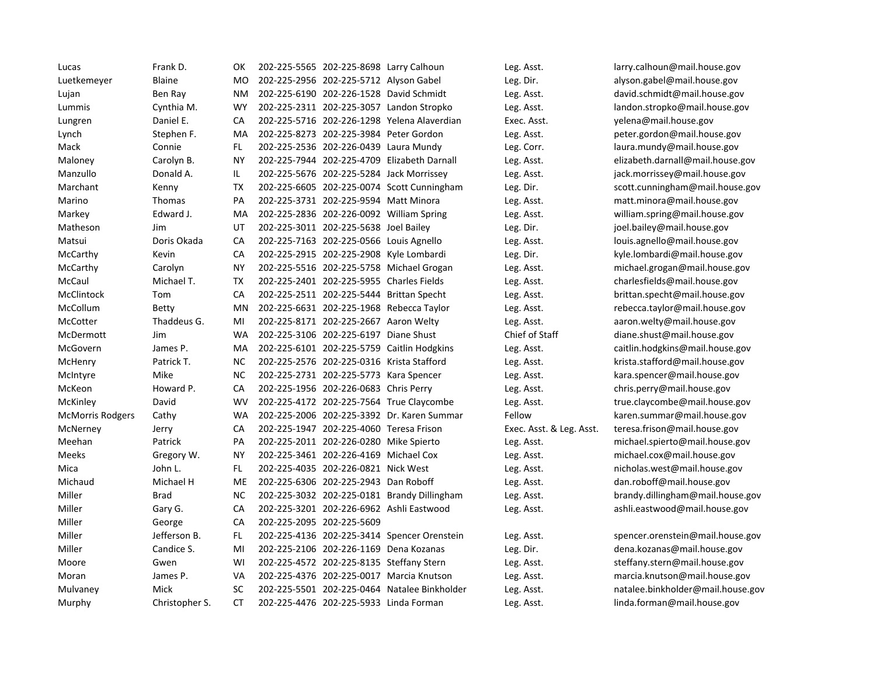| Lucas                   | Frank D.       | ОΚ        | 202-225-5565 202-225-8698 Larry Calhoun  |                                              | Leg. Asst.               | larry.calhoun@mail.house.gov      |
|-------------------------|----------------|-----------|------------------------------------------|----------------------------------------------|--------------------------|-----------------------------------|
| Luetkemeyer             | <b>Blaine</b>  | MO        | 202-225-2956 202-225-5712 Alyson Gabel   |                                              | Leg. Dir.                | alyson.gabel@mail.house.gov       |
| Lujan                   | Ben Ray        | ΝM        |                                          | 202-225-6190 202-226-1528 David Schmidt      | Leg. Asst.               | david.schmidt@mail.house.gov      |
| Lummis                  | Cynthia M.     | <b>WY</b> |                                          | 202-225-2311 202-225-3057 Landon Stropko     | Leg. Asst.               | landon.stropko@mail.house.gov     |
| Lungren                 | Daniel E.      | CA        |                                          | 202-225-5716 202-226-1298 Yelena Alaverdian  | Exec. Asst.              | yelena@mail.house.gov             |
| Lynch                   | Stephen F.     | MA        | 202-225-8273 202-225-3984 Peter Gordon   |                                              | Leg. Asst.               | peter.gordon@mail.house.gov       |
| Mack                    | Connie         | FL        | 202-225-2536 202-226-0439 Laura Mundy    |                                              | Leg. Corr.               | laura.mundy@mail.house.gov        |
| Maloney                 | Carolyn B.     | <b>NY</b> |                                          | 202-225-7944 202-225-4709 Elizabeth Darnall  | Leg. Asst.               | elizabeth.darnall@mail.house.gov  |
| Manzullo                | Donald A.      | IL.       |                                          | 202-225-5676 202-225-5284 Jack Morrissey     | Leg. Asst.               | jack.morrissey@mail.house.gov     |
| Marchant                | Kenny          | TX        |                                          | 202-225-6605 202-225-0074 Scott Cunningham   | Leg. Dir.                | scott.cunningham@mail.house.gov   |
| Marino                  | Thomas         | PA        | 202-225-3731 202-225-9594 Matt Minora    |                                              | Leg. Asst.               | matt.minora@mail.house.gov        |
| Markey                  | Edward J.      | MA        |                                          | 202-225-2836 202-226-0092 William Spring     | Leg. Asst.               | william.spring@mail.house.gov     |
| Matheson                | Jim            | UT        | 202-225-3011 202-225-5638 Joel Bailey    |                                              | Leg. Dir.                | joel.bailey@mail.house.gov        |
| Matsui                  | Doris Okada    | CA        | 202-225-7163 202-225-0566 Louis Agnello  |                                              | Leg. Asst.               | louis.agnello@mail.house.gov      |
| McCarthy                | Kevin          | CA        |                                          | 202-225-2915 202-225-2908 Kyle Lombardi      | Leg. Dir.                | kyle.lombardi@mail.house.gov      |
| McCarthy                | Carolyn        | <b>NY</b> |                                          | 202-225-5516 202-225-5758 Michael Grogan     | Leg. Asst.               | michael.grogan@mail.house.gov     |
| McCaul                  | Michael T.     | <b>TX</b> | 202-225-2401 202-225-5955 Charles Fields |                                              | Leg. Asst.               | charlesfields@mail.house.gov      |
| McClintock              | Tom            | CA        |                                          | 202-225-2511 202-225-5444 Brittan Specht     | Leg. Asst.               | brittan.specht@mail.house.gov     |
| McCollum                | <b>Betty</b>   | MN        |                                          | 202-225-6631 202-225-1968 Rebecca Taylor     | Leg. Asst.               | rebecca.taylor@mail.house.gov     |
| McCotter                | Thaddeus G.    | MI        | 202-225-8171 202-225-2667 Aaron Welty    |                                              | Leg. Asst.               | aaron.welty@mail.house.gov        |
| McDermott               | Jim            | <b>WA</b> | 202-225-3106 202-225-6197 Diane Shust    |                                              | Chief of Staff           | diane.shust@mail.house.gov        |
| McGovern                | James P.       | MA        |                                          | 202-225-6101 202-225-5759 Caitlin Hodgkins   | Leg. Asst.               | caitlin.hodgkins@mail.house.gov   |
| McHenry                 | Patrick T.     | NC.       |                                          | 202-225-2576 202-225-0316 Krista Stafford    | Leg. Asst.               | krista.stafford@mail.house.gov    |
| McIntyre                | Mike           | <b>NC</b> | 202-225-2731 202-225-5773 Kara Spencer   |                                              | Leg. Asst.               | kara.spencer@mail.house.gov       |
| McKeon                  | Howard P.      | CA        | 202-225-1956 202-226-0683 Chris Perry    |                                              | Leg. Asst.               | chris.perry@mail.house.gov        |
| McKinley                | David          | <b>WV</b> |                                          | 202-225-4172 202-225-7564 True Claycombe     | Leg. Asst.               | true.claycombe@mail.house.gov     |
| <b>McMorris Rodgers</b> | Cathy          | <b>WA</b> |                                          | 202-225-2006 202-225-3392 Dr. Karen Summar   | Fellow                   | karen.summar@mail.house.gov       |
| McNerney                | Jerry          | CA        | 202-225-1947 202-225-4060 Teresa Frison  |                                              | Exec. Asst. & Leg. Asst. | teresa.frison@mail.house.gov      |
| Meehan                  | Patrick        | PA        | 202-225-2011 202-226-0280 Mike Spierto   |                                              | Leg. Asst.               | michael.spierto@mail.house.gov    |
| Meeks                   | Gregory W.     | ΝY        | 202-225-3461 202-226-4169 Michael Cox    |                                              | Leg. Asst.               | michael.cox@mail.house.gov        |
| Mica                    | John L.        | FL.       | 202-225-4035 202-226-0821 Nick West      |                                              | Leg. Asst.               | nicholas.west@mail.house.gov      |
| Michaud                 | Michael H      | <b>ME</b> | 202-225-6306 202-225-2943 Dan Roboff     |                                              | Leg. Asst.               | dan.roboff@mail.house.gov         |
| Miller                  | <b>Brad</b>    | NC.       |                                          | 202-225-3032 202-225-0181 Brandy Dillingham  | Leg. Asst.               | brandy.dillingham@mail.house.gov  |
| Miller                  | Gary G.        | CA        |                                          | 202-225-3201 202-226-6962 Ashli Eastwood     | Leg. Asst.               | ashli.eastwood@mail.house.gov     |
| Miller                  | George         | CA        | 202-225-2095 202-225-5609                |                                              |                          |                                   |
| Miller                  | Jefferson B.   | FL.       |                                          | 202-225-4136 202-225-3414 Spencer Orenstein  | Leg. Asst.               | spencer.orenstein@mail.house.gov  |
| Miller                  | Candice S.     | MI        | 202-225-2106 202-226-1169 Dena Kozanas   |                                              | Leg. Dir.                | dena.kozanas@mail.house.gov       |
| Moore                   | Gwen           | WI        |                                          | 202-225-4572 202-225-8135 Steffany Stern     | Leg. Asst.               | steffany.stern@mail.house.gov     |
| Moran                   | James P.       | VA        |                                          | 202-225-4376 202-225-0017 Marcia Knutson     | Leg. Asst.               | marcia.knutson@mail.house.gov     |
| Mulvaney                | Mick           | <b>SC</b> |                                          | 202-225-5501 202-225-0464 Natalee Binkholder | Leg. Asst.               | natalee.binkholder@mail.house.gov |
| Murphy                  | Christopher S. | <b>CT</b> | 202-225-4476 202-225-5933 Linda Forman   |                                              | Leg. Asst.               | linda.forman@mail.house.gov       |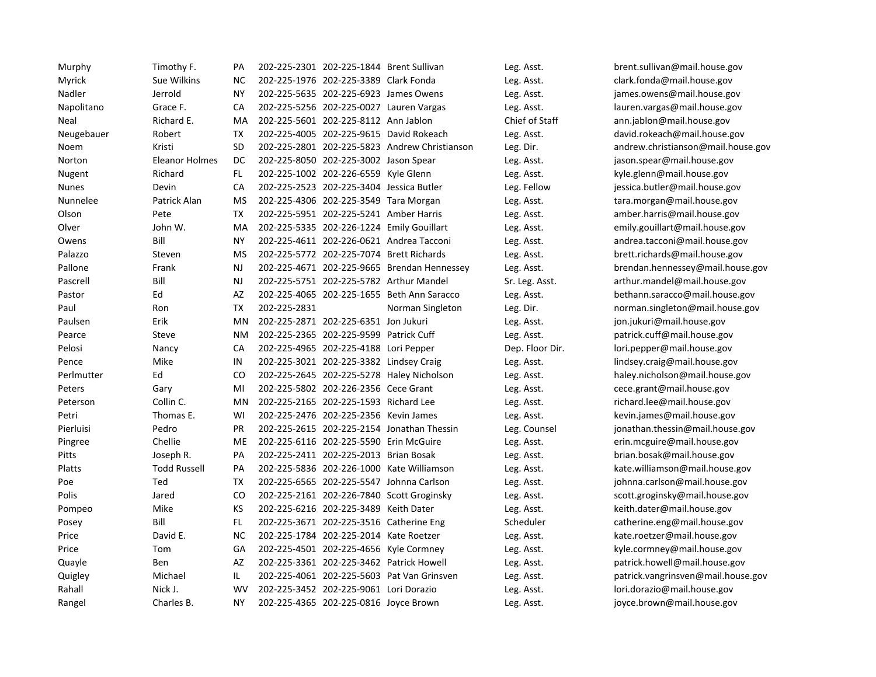| Murphy       | Timothy F.            | PА        |              | 202-225-2301 202-225-1844 Brent Sullivan |                                               | Leg. Asst.      | brent.sullivan@mail.house.gov      |
|--------------|-----------------------|-----------|--------------|------------------------------------------|-----------------------------------------------|-----------------|------------------------------------|
| Myrick       | Sue Wilkins           | <b>NC</b> |              | 202-225-1976 202-225-3389 Clark Fonda    |                                               | Leg. Asst.      | clark.fonda@mail.house.gov         |
| Nadler       | Jerrold               | <b>NY</b> |              | 202-225-5635 202-225-6923 James Owens    |                                               | Leg. Asst.      | james.owens@mail.house.gov         |
| Napolitano   | Grace F.              | CA        |              |                                          | 202-225-5256 202-225-0027 Lauren Vargas       | Leg. Asst.      | lauren.vargas@mail.house.gov       |
| Neal         | Richard E.            | MA        |              | 202-225-5601 202-225-8112 Ann Jablon     |                                               | Chief of Staff  | ann.jablon@mail.house.gov          |
| Neugebauer   | Robert                | <b>TX</b> |              |                                          | 202-225-4005 202-225-9615 David Rokeach       | Leg. Asst.      | david.rokeach@mail.house.gov       |
| Noem         | Kristi                | <b>SD</b> |              |                                          | 202-225-2801 202-225-5823 Andrew Christianson | Leg. Dir.       | andrew.christianson@mail.house.gov |
| Norton       | <b>Eleanor Holmes</b> | DC        |              | 202-225-8050 202-225-3002 Jason Spear    |                                               | Leg. Asst.      | jason.spear@mail.house.gov         |
| Nugent       | Richard               | FL.       |              | 202-225-1002 202-226-6559 Kyle Glenn     |                                               | Leg. Asst.      | kyle.glenn@mail.house.gov          |
| <b>Nunes</b> | Devin                 | CA        |              | 202-225-2523 202-225-3404 Jessica Butler |                                               | Leg. Fellow     | jessica.butler@mail.house.gov      |
| Nunnelee     | Patrick Alan          | <b>MS</b> |              | 202-225-4306 202-225-3549 Tara Morgan    |                                               | Leg. Asst.      | tara.morgan@mail.house.gov         |
| Olson        | Pete                  | ТX        |              | 202-225-5951 202-225-5241 Amber Harris   |                                               | Leg. Asst.      | amber.harris@mail.house.gov        |
| Olver        | John W.               | MA        |              |                                          | 202-225-5335 202-226-1224 Emily Gouillart     | Leg. Asst.      | emily.gouillart@mail.house.gov     |
| Owens        | Bill                  | <b>NY</b> |              |                                          | 202-225-4611 202-226-0621 Andrea Tacconi      | Leg. Asst.      | andrea.tacconi@mail.house.gov      |
| Palazzo      | Steven                | MS        |              |                                          | 202-225-5772 202-225-7074 Brett Richards      | Leg. Asst.      | brett.richards@mail.house.gov      |
| Pallone      | Frank                 | NJ        |              |                                          | 202-225-4671 202-225-9665 Brendan Hennessey   | Leg. Asst.      | brendan.hennessey@mail.house.gov   |
| Pascrell     | Bill                  | NJ        |              |                                          | 202-225-5751 202-225-5782 Arthur Mandel       | Sr. Leg. Asst.  | arthur.mandel@mail.house.gov       |
| Pastor       | Ed                    | AZ        |              |                                          | 202-225-4065 202-225-1655 Beth Ann Saracco    | Leg. Asst.      | bethann.saracco@mail.house.gov     |
| Paul         | Ron                   | <b>TX</b> | 202-225-2831 |                                          | Norman Singleton                              | Leg. Dir.       | norman.singleton@mail.house.gov    |
| Paulsen      | Erik                  | MN        |              | 202-225-2871 202-225-6351 Jon Jukuri     |                                               | Leg. Asst.      | jon.jukuri@mail.house.gov          |
| Pearce       | Steve                 | <b>NM</b> |              | 202-225-2365 202-225-9599 Patrick Cuff   |                                               | Leg. Asst.      | patrick.cuff@mail.house.gov        |
| Pelosi       | Nancy                 | CA        |              | 202-225-4965 202-225-4188 Lori Pepper    |                                               | Dep. Floor Dir. | lori.pepper@mail.house.gov         |
| Pence        | Mike                  | IN        |              | 202-225-3021 202-225-3382 Lindsey Craig  |                                               | Leg. Asst.      | lindsey.craig@mail.house.gov       |
| Perlmutter   | Ed                    | CO        |              |                                          | 202-225-2645 202-225-5278 Haley Nicholson     | Leg. Asst.      | haley.nicholson@mail.house.gov     |
| Peters       | Gary                  | MI        |              | 202-225-5802 202-226-2356 Cece Grant     |                                               | Leg. Asst.      | cece.grant@mail.house.gov          |
| Peterson     | Collin C.             | MN        |              | 202-225-2165 202-225-1593 Richard Lee    |                                               | Leg. Asst.      | richard.lee@mail.house.gov         |
| Petri        | Thomas E.             | WI        |              | 202-225-2476 202-225-2356 Kevin James    |                                               | Leg. Asst.      | kevin.james@mail.house.gov         |
| Pierluisi    | Pedro                 | PR        |              |                                          | 202-225-2615 202-225-2154 Jonathan Thessin    | Leg. Counsel    | jonathan.thessin@mail.house.gov    |
| Pingree      | Chellie               | <b>ME</b> |              | 202-225-6116 202-225-5590 Erin McGuire   |                                               | Leg. Asst.      | erin.mcguire@mail.house.gov        |
| Pitts        | Joseph R.             | PA        |              | 202-225-2411 202-225-2013 Brian Bosak    |                                               | Leg. Asst.      | brian.bosak@mail.house.gov         |
| Platts       | <b>Todd Russell</b>   | PA        |              |                                          | 202-225-5836 202-226-1000 Kate Williamson     | Leg. Asst.      | kate.williamson@mail.house.gov     |
| Poe          | Ted                   | <b>TX</b> |              |                                          | 202-225-6565 202-225-5547 Johnna Carlson      | Leg. Asst.      | johnna.carlson@mail.house.gov      |
| Polis        | Jared                 | CO        |              |                                          | 202-225-2161 202-226-7840 Scott Groginsky     | Leg. Asst.      | scott.groginsky@mail.house.gov     |
| Pompeo       | Mike                  | KS        |              | 202-225-6216 202-225-3489 Keith Dater    |                                               | Leg. Asst.      | keith.dater@mail.house.gov         |
| Posey        | Bill                  | FL        |              | 202-225-3671 202-225-3516 Catherine Eng  |                                               | Scheduler       | catherine.eng@mail.house.gov       |
| Price        | David E.              | <b>NC</b> |              | 202-225-1784 202-225-2014 Kate Roetzer   |                                               | Leg. Asst.      | kate.roetzer@mail.house.gov        |
| Price        | Tom                   | GA        |              | 202-225-4501 202-225-4656 Kyle Cormney   |                                               | Leg. Asst.      | kyle.cormney@mail.house.gov        |
| Quayle       | Ben                   | AZ        |              |                                          | 202-225-3361 202-225-3462 Patrick Howell      | Leg. Asst.      | patrick.howell@mail.house.gov      |
| Quigley      | Michael               | IL.       |              |                                          | 202-225-4061 202-225-5603 Pat Van Grinsven    | Leg. Asst.      | patrick.vangrinsven@mail.house.gov |
| Rahall       | Nick J.               | <b>WV</b> |              | 202-225-3452 202-225-9061 Lori Dorazio   |                                               | Leg. Asst.      | lori.dorazio@mail.house.gov        |
| Rangel       | Charles B.            | <b>NY</b> |              | 202-225-4365 202-225-0816 Joyce Brown    |                                               | Leg. Asst.      | joyce.brown@mail.house.gov         |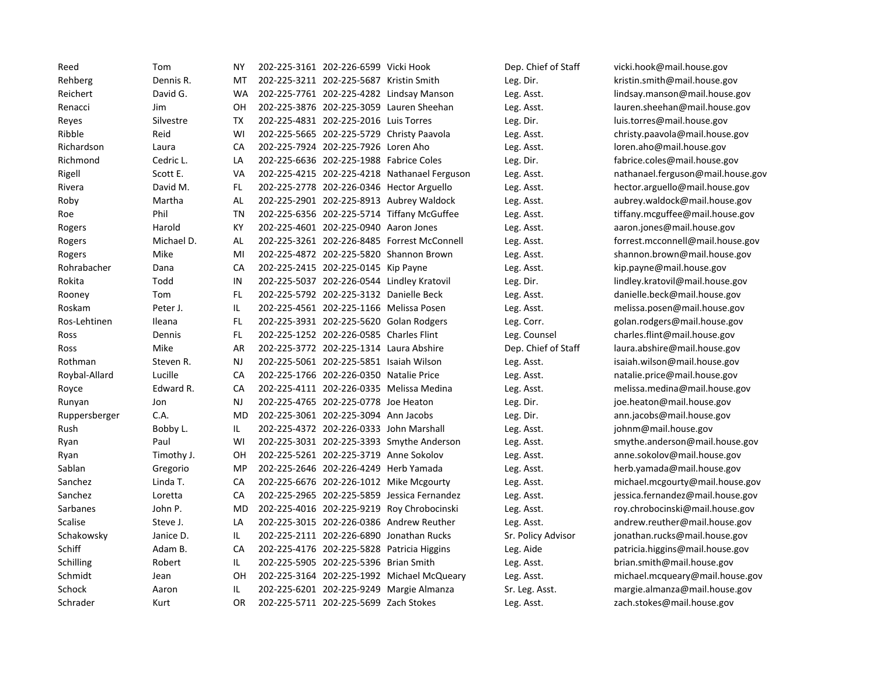| Reed          | Tom        | ΝY         | 202-225-3161 202-226-6599 Vicki Hook    |                                              | Dep. Chief of Staff | vicki.hook@mail.house.gov         |
|---------------|------------|------------|-----------------------------------------|----------------------------------------------|---------------------|-----------------------------------|
| Rehberg       | Dennis R.  | MT         | 202-225-3211 202-225-5687 Kristin Smith |                                              | Leg. Dir.           | kristin.smith@mail.house.gov      |
| Reichert      | David G.   | <b>WA</b>  |                                         | 202-225-7761 202-225-4282 Lindsay Manson     | Leg. Asst.          | lindsay.manson@mail.house.gov     |
| Renacci       | Jim        | OH         |                                         | 202-225-3876 202-225-3059 Lauren Sheehan     | Leg. Asst.          | lauren.sheehan@mail.house.gov     |
| Reyes         | Silvestre  | TX         | 202-225-4831 202-225-2016 Luis Torres   |                                              | Leg. Dir.           | luis.torres@mail.house.gov        |
| Ribble        | Reid       | WI         |                                         | 202-225-5665 202-225-5729 Christy Paavola    | Leg. Asst.          | christy.paavola@mail.house.gov    |
| Richardson    | Laura      | CA         | 202-225-7924 202-225-7926 Loren Aho     |                                              | Leg. Asst.          | loren.aho@mail.house.gov          |
| Richmond      | Cedric L.  | LA         | 202-225-6636 202-225-1988 Fabrice Coles |                                              | Leg. Dir.           | fabrice.coles@mail.house.gov      |
| Rigell        | Scott E.   | VA         |                                         | 202-225-4215 202-225-4218 Nathanael Ferguson | Leg. Asst.          | nathanael.ferguson@mail.house.gov |
| Rivera        | David M.   | FL.        |                                         | 202-225-2778 202-226-0346 Hector Arguello    | Leg. Asst.          | hector.arguello@mail.house.gov    |
| Roby          | Martha     | AL         |                                         | 202-225-2901 202-225-8913 Aubrey Waldock     | Leg. Asst.          | aubrey.waldock@mail.house.gov     |
| Roe           | Phil       | <b>TN</b>  |                                         | 202-225-6356 202-225-5714 Tiffany McGuffee   | Leg. Asst.          | tiffany.mcguffee@mail.house.gov   |
| Rogers        | Harold     | KY         | 202-225-4601 202-225-0940 Aaron Jones   |                                              | Leg. Asst.          | aaron.jones@mail.house.gov        |
| Rogers        | Michael D. | <b>AL</b>  |                                         | 202-225-3261 202-226-8485 Forrest McConnell  | Leg. Asst.          | forrest.mcconnell@mail.house.gov  |
| Rogers        | Mike       | MI         |                                         | 202-225-4872 202-225-5820 Shannon Brown      | Leg. Asst.          | shannon.brown@mail.house.gov      |
| Rohrabacher   | Dana       | CA         | 202-225-2415 202-225-0145 Kip Payne     |                                              | Leg. Asst.          | kip.payne@mail.house.gov          |
| Rokita        | Todd       | IN         |                                         | 202-225-5037 202-226-0544 Lindley Kratovil   | Leg. Dir.           | lindley.kratovil@mail.house.gov   |
| Rooney        | Tom        | FL.        | 202-225-5792 202-225-3132 Danielle Beck |                                              | Leg. Asst.          | danielle.beck@mail.house.gov      |
| Roskam        | Peter J.   | IL.        |                                         | 202-225-4561 202-225-1166 Melissa Posen      | Leg. Asst.          | melissa.posen@mail.house.gov      |
| Ros-Lehtinen  | Ileana     | FL         |                                         | 202-225-3931 202-225-5620 Golan Rodgers      | Leg. Corr.          | golan.rodgers@mail.house.gov      |
| Ross          | Dennis     | FL.        | 202-225-1252 202-226-0585 Charles Flint |                                              | Leg. Counsel        | charles.flint@mail.house.gov      |
| Ross          | Mike       | AR         | 202-225-3772 202-225-1314 Laura Abshire |                                              | Dep. Chief of Staff | laura.abshire@mail.house.gov      |
| Rothman       | Steven R.  | <b>NJ</b>  | 202-225-5061 202-225-5851 Isaiah Wilson |                                              | Leg. Asst.          | isaiah.wilson@mail.house.gov      |
| Roybal-Allard | Lucille    | CA         | 202-225-1766 202-226-0350 Natalie Price |                                              | Leg. Asst.          | natalie.price@mail.house.gov      |
| Royce         | Edward R.  | CA         |                                         | 202-225-4111 202-226-0335 Melissa Medina     | Leg. Asst.          | melissa.medina@mail.house.gov     |
| Runyan        | Jon        | <b>NJ</b>  | 202-225-4765 202-225-0778 Joe Heaton    |                                              | Leg. Dir.           | joe.heaton@mail.house.gov         |
| Ruppersberger | C.A.       | MD         | 202-225-3061 202-225-3094 Ann Jacobs    |                                              | Leg. Dir.           | ann.jacobs@mail.house.gov         |
| Rush          | Bobby L.   | IL         | 202-225-4372 202-226-0333 John Marshall |                                              | Leg. Asst.          | johnm@mail.house.gov              |
| Ryan          | Paul       | WI         |                                         | 202-225-3031 202-225-3393 Smythe Anderson    | Leg. Asst.          | smythe.anderson@mail.house.gov    |
| Ryan          | Timothy J. | OH         | 202-225-5261 202-225-3719 Anne Sokolov  |                                              | Leg. Asst.          | anne.sokolov@mail.house.gov       |
| Sablan        | Gregorio   | MP         | 202-225-2646 202-226-4249 Herb Yamada   |                                              | Leg. Asst.          | herb.yamada@mail.house.gov        |
| Sanchez       | Linda T.   | ${\sf CA}$ |                                         | 202-225-6676 202-226-1012 Mike Mcgourty      | Leg. Asst.          | michael.mcgourty@mail.house.gov   |
| Sanchez       | Loretta    | CA         |                                         | 202-225-2965 202-225-5859 Jessica Fernandez  | Leg. Asst.          | jessica.fernandez@mail.house.gov  |
| Sarbanes      | John P.    | MD         |                                         | 202-225-4016 202-225-9219 Roy Chrobocinski   | Leg. Asst.          | roy.chrobocinski@mail.house.gov   |
| Scalise       | Steve J.   | LA         |                                         | 202-225-3015 202-226-0386 Andrew Reuther     | Leg. Asst.          | andrew.reuther@mail.house.gov     |
| Schakowsky    | Janice D.  | IL.        |                                         | 202-225-2111 202-226-6890 Jonathan Rucks     | Sr. Policy Advisor  | jonathan.rucks@mail.house.gov     |
| Schiff        | Adam B.    | CA         |                                         | 202-225-4176 202-225-5828 Patricia Higgins   | Leg. Aide           | patricia.higgins@mail.house.gov   |
| Schilling     | Robert     | IL.        | 202-225-5905 202-225-5396 Brian Smith   |                                              | Leg. Asst.          | brian.smith@mail.house.gov        |
| Schmidt       | Jean       | OH         |                                         | 202-225-3164 202-225-1992 Michael McQueary   | Leg. Asst.          | michael.mcqueary@mail.house.gov   |
| Schock        | Aaron      | IL.        |                                         | 202-225-6201 202-225-9249 Margie Almanza     | Sr. Leg. Asst.      | margie.almanza@mail.house.gov     |
| Schrader      | Kurt       | <b>OR</b>  | 202-225-5711 202-225-5699 Zach Stokes   |                                              | Leg. Asst.          | zach.stokes@mail.house.gov        |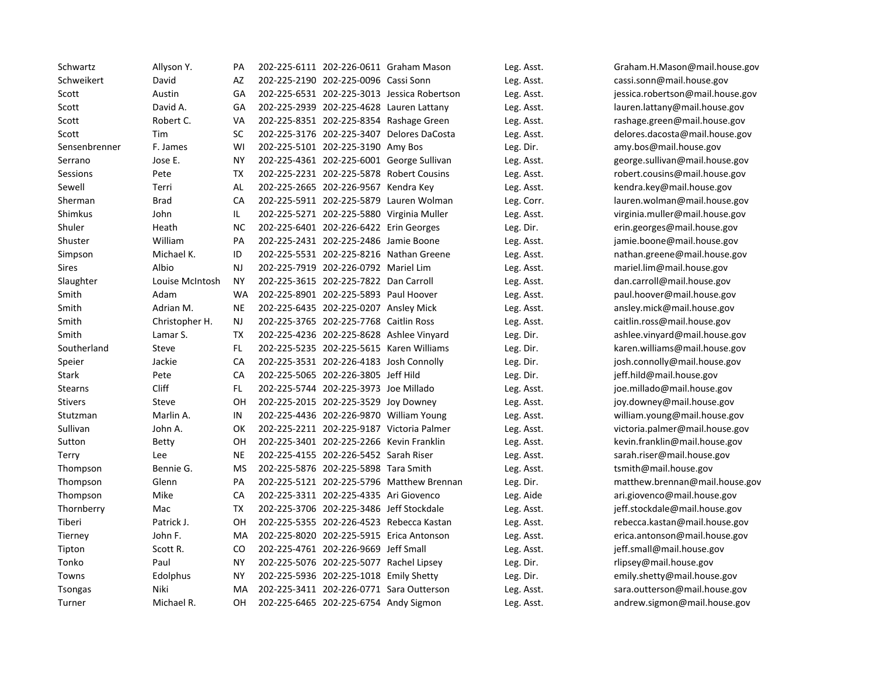| Schwartz       | Allyson Y.      | PA        |                                          | 202-225-6111 202-226-0611 Graham Mason      | Leg. Asst. | Graham.H.Mason@mail.house.gov    |
|----------------|-----------------|-----------|------------------------------------------|---------------------------------------------|------------|----------------------------------|
| Schweikert     | David           | AZ        | 202-225-2190 202-225-0096 Cassi Sonn     |                                             | Leg. Asst. | cassi.sonn@mail.house.gov        |
| Scott          | Austin          | GA        |                                          | 202-225-6531 202-225-3013 Jessica Robertson | Leg. Asst. | jessica.robertson@mail.house.gov |
| Scott          | David A.        | GA        |                                          | 202-225-2939 202-225-4628 Lauren Lattany    | Leg. Asst. | lauren.lattany@mail.house.gov    |
| Scott          | Robert C.       | VA        |                                          | 202-225-8351 202-225-8354 Rashage Green     | Leg. Asst. | rashage.green@mail.house.gov     |
| Scott          | Tim             | SC        |                                          | 202-225-3176 202-225-3407 Delores DaCosta   | Leg. Asst. | delores.dacosta@mail.house.gov   |
| Sensenbrenner  | F. James        | WI        | 202-225-5101 202-225-3190 Amy Bos        |                                             | Leg. Dir.  | amy.bos@mail.house.gov           |
| Serrano        | Jose E.         | <b>NY</b> |                                          | 202-225-4361 202-225-6001 George Sullivan   | Leg. Asst. | george.sullivan@mail.house.gov   |
| Sessions       | Pete            | <b>TX</b> |                                          | 202-225-2231 202-225-5878 Robert Cousins    | Leg. Asst. | robert.cousins@mail.house.gov    |
| Sewell         | Terri           | AL        | 202-225-2665 202-226-9567 Kendra Key     |                                             | Leg. Asst. | kendra.key@mail.house.gov        |
| Sherman        | <b>Brad</b>     | CA        |                                          | 202-225-5911 202-225-5879 Lauren Wolman     | Leg. Corr. | lauren.wolman@mail.house.gov     |
| Shimkus        | John            | IL        |                                          | 202-225-5271 202-225-5880 Virginia Muller   | Leg. Asst. | virginia.muller@mail.house.gov   |
| Shuler         | Heath           | <b>NC</b> | 202-225-6401 202-226-6422 Erin Georges   |                                             | Leg. Dir.  | erin.georges@mail.house.gov      |
| Shuster        | William         | PA        | 202-225-2431 202-225-2486 Jamie Boone    |                                             | Leg. Asst. | jamie.boone@mail.house.gov       |
| Simpson        | Michael K.      | ID        |                                          | 202-225-5531 202-225-8216 Nathan Greene     | Leg. Asst. | nathan.greene@mail.house.gov     |
| Sires          | Albio           | NJ        | 202-225-7919 202-226-0792 Mariel Lim     |                                             | Leg. Asst. | mariel.lim@mail.house.gov        |
| Slaughter      | Louise McIntosh | <b>NY</b> | 202-225-3615 202-225-7822 Dan Carroll    |                                             | Leg. Asst. | dan.carroll@mail.house.gov       |
| Smith          | Adam            | <b>WA</b> | 202-225-8901 202-225-5893 Paul Hoover    |                                             | Leg. Asst. | paul.hoover@mail.house.gov       |
| Smith          | Adrian M.       | <b>NE</b> | 202-225-6435 202-225-0207 Ansley Mick    |                                             | Leg. Asst. | ansley.mick@mail.house.gov       |
| Smith          | Christopher H.  | NJ        | 202-225-3765 202-225-7768 Caitlin Ross   |                                             | Leg. Asst. | caitlin.ross@mail.house.gov      |
| Smith          | Lamar S.        | TX        |                                          | 202-225-4236 202-225-8628 Ashlee Vinyard    | Leg. Dir.  | ashlee.vinyard@mail.house.gov    |
| Southerland    | Steve           | FL.       |                                          | 202-225-5235 202-225-5615 Karen Williams    | Leg. Dir.  | karen.williams@mail.house.gov    |
| Speier         | Jackie          | CA        | 202-225-3531 202-226-4183 Josh Connolly  |                                             | Leg. Dir.  | josh.connolly@mail.house.gov     |
| <b>Stark</b>   | Pete            | CA        | 202-225-5065 202-226-3805 Jeff Hild      |                                             | Leg. Dir.  | jeff.hild@mail.house.gov         |
| <b>Stearns</b> | <b>Cliff</b>    | FL.       | 202-225-5744 202-225-3973 Joe Millado    |                                             | Leg. Asst. | joe.millado@mail.house.gov       |
| <b>Stivers</b> | Steve           | OH        | 202-225-2015 202-225-3529 Joy Downey     |                                             | Leg. Asst. | joy.downey@mail.house.gov        |
| Stutzman       | Marlin A.       | IN        |                                          | 202-225-4436 202-226-9870 William Young     | Leg. Asst. | william.young@mail.house.gov     |
| Sullivan       | John A.         | OK        |                                          | 202-225-2211 202-225-9187 Victoria Palmer   | Leg. Asst. | victoria.palmer@mail.house.gov   |
| Sutton         | <b>Betty</b>    | OH        | 202-225-3401 202-225-2266 Kevin Franklin |                                             | Leg. Asst. | kevin.franklin@mail.house.gov    |
| Terry          | Lee             | <b>NE</b> | 202-225-4155 202-226-5452 Sarah Riser    |                                             | Leg. Asst. | sarah.riser@mail.house.gov       |
| Thompson       | Bennie G.       | MS        | 202-225-5876 202-225-5898 Tara Smith     |                                             | Leg. Asst. | tsmith@mail.house.gov            |
| Thompson       | Glenn           | PA        |                                          | 202-225-5121 202-225-5796 Matthew Brennan   | Leg. Dir.  | matthew.brennan@mail.house.gov   |
| Thompson       | Mike            | CA        | 202-225-3311 202-225-4335 Ari Giovenco   |                                             | Leg. Aide  | ari.giovenco@mail.house.gov      |
| Thornberry     | Mac             | TX        | 202-225-3706 202-225-3486 Jeff Stockdale |                                             | Leg. Asst. | jeff.stockdale@mail.house.gov    |
| Tiberi         | Patrick J.      | OH        |                                          | 202-225-5355 202-226-4523 Rebecca Kastan    | Leg. Asst. | rebecca.kastan@mail.house.gov    |
| Tierney        | John F.         | MA        |                                          | 202-225-8020 202-225-5915 Erica Antonson    | Leg. Asst. | erica.antonson@mail.house.gov    |
| Tipton         | Scott R.        | CO        | 202-225-4761 202-226-9669 Jeff Small     |                                             | Leg. Asst. | jeff.small@mail.house.gov        |
| Tonko          | Paul            | <b>NY</b> | 202-225-5076 202-225-5077 Rachel Lipsey  |                                             | Leg. Dir.  | rlipsey@mail.house.gov           |
| Towns          | Edolphus        | <b>NY</b> | 202-225-5936 202-225-1018 Emily Shetty   |                                             | Leg. Dir.  | emily.shetty@mail.house.gov      |
| <b>Tsongas</b> | Niki            | MA        |                                          | 202-225-3411 202-226-0771 Sara Outterson    | Leg. Asst. | sara.outterson@mail.house.gov    |
| Turner         | Michael R.      | OH        | 202-225-6465 202-225-6754 Andy Sigmon    |                                             | Leg. Asst. | andrew.sigmon@mail.house.gov     |